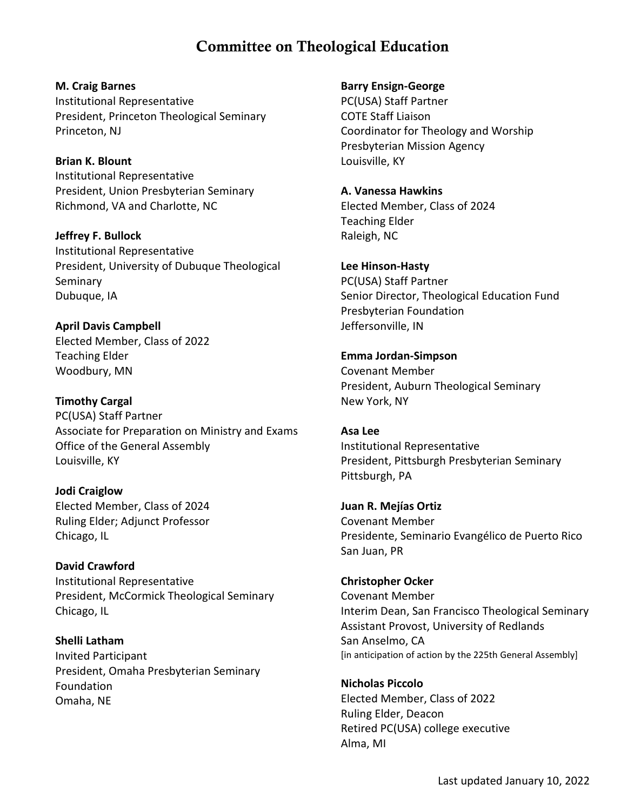# Committee on Theological Education

**M. Craig Barnes** Institutional Representative President, Princeton Theological Seminary Princeton, NJ

**Brian K. Blount** Institutional Representative President, Union Presbyterian Seminary Richmond, VA and Charlotte, NC

**Jeffrey F. Bullock** Institutional Representative President, University of Dubuque Theological Seminary Dubuque, IA

**April Davis Campbell** Elected Member, Class of 2022 Teaching Elder Woodbury, MN

**Timothy Cargal** PC(USA) Staff Partner Associate for Preparation on Ministry and Exams Office of the General Assembly Louisville, KY

**Jodi Craiglow** Elected Member, Class of 2024 Ruling Elder; Adjunct Professor Chicago, IL

**David Crawford** Institutional Representative President, McCormick Theological Seminary Chicago, IL

**Shelli Latham** Invited Participant President, Omaha Presbyterian Seminary Foundation Omaha, NE

**Barry Ensign-George** PC(USA) Staff Partner COTE Staff Liaison Coordinator for Theology and Worship Presbyterian Mission Agency Louisville, KY

**A. Vanessa Hawkins** Elected Member, Class of 2024 Teaching Elder Raleigh, NC

**Lee Hinson-Hasty** PC(USA) Staff Partner Senior Director, Theological Education Fund Presbyterian Foundation Jeffersonville, IN

**Emma Jordan-Simpson** Covenant Member President, Auburn Theological Seminary New York, NY

**Asa Lee** Institutional Representative President, Pittsburgh Presbyterian Seminary Pittsburgh, PA

**Juan R. Mejías Ortiz** Covenant Member Presidente, Seminario Evangélico de Puerto Rico San Juan, PR

**Christopher Ocker** Covenant Member Interim Dean, San Francisco Theological Seminary Assistant Provost, University of Redlands San Anselmo, CA [in anticipation of action by the 225th General Assembly]

**Nicholas Piccolo** Elected Member, Class of 2022 Ruling Elder, Deacon Retired PC(USA) college executive Alma, MI